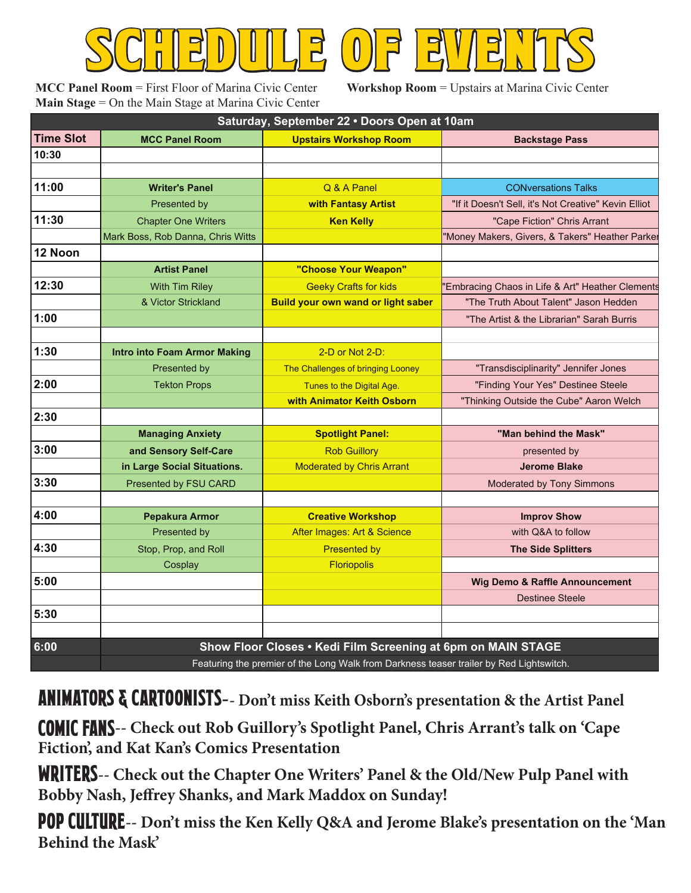**MCC Panel Room** = First Floor of Marina Civic Center **Main Stage** = On the Main Stage at Marina Civic Center SCHEDULE OF EVENTS

**Workshop Room** = Upstairs at Marina Civic Center

| Saturday, September 22 . Doors Open at 10am |                                                                                         |                                           |                                                      |  |
|---------------------------------------------|-----------------------------------------------------------------------------------------|-------------------------------------------|------------------------------------------------------|--|
| <b>Time Slot</b>                            | <b>MCC Panel Room</b>                                                                   | <b>Upstairs Workshop Room</b>             | <b>Backstage Pass</b>                                |  |
| 10:30                                       |                                                                                         |                                           |                                                      |  |
|                                             |                                                                                         |                                           |                                                      |  |
| 11:00                                       | <b>Writer's Panel</b>                                                                   | Q & A Panel                               | <b>CONversations Talks</b>                           |  |
|                                             | Presented by                                                                            | with Fantasy Artist                       | "If it Doesn't Sell, it's Not Creative" Kevin Elliot |  |
| 11:30                                       | <b>Chapter One Writers</b>                                                              | <b>Ken Kelly</b>                          | "Cape Fiction" Chris Arrant                          |  |
|                                             | Mark Boss, Rob Danna, Chris Witts                                                       |                                           | "Money Makers, Givers, & Takers" Heather Parke       |  |
| 12 Noon                                     |                                                                                         |                                           |                                                      |  |
|                                             | <b>Artist Panel</b>                                                                     | "Choose Your Weapon"                      |                                                      |  |
| 12:30                                       | With Tim Riley                                                                          | <b>Geeky Crafts for kids</b>              | "Embracing Chaos in Life & Art" Heather Clements     |  |
|                                             | & Victor Strickland                                                                     | <b>Build your own wand or light saber</b> | "The Truth About Talent" Jason Hedden                |  |
| 1:00                                        |                                                                                         |                                           | "The Artist & the Librarian" Sarah Burris            |  |
|                                             |                                                                                         |                                           |                                                      |  |
| 1:30                                        | <b>Intro into Foam Armor Making</b>                                                     | 2-D or Not 2-D:                           |                                                      |  |
|                                             | Presented by                                                                            | The Challenges of bringing Looney         | "Transdisciplinarity" Jennifer Jones                 |  |
| 2:00                                        | <b>Tekton Props</b>                                                                     | Tunes to the Digital Age.                 | "Finding Your Yes" Destinee Steele                   |  |
|                                             |                                                                                         | with Animator Keith Osborn                | "Thinking Outside the Cube" Aaron Welch              |  |
| 2:30                                        |                                                                                         |                                           |                                                      |  |
|                                             | <b>Managing Anxiety</b>                                                                 | <b>Spotlight Panel:</b>                   | "Man behind the Mask"                                |  |
| 3:00                                        | and Sensory Self-Care                                                                   | <b>Rob Guillory</b>                       | presented by                                         |  |
|                                             | in Large Social Situations.                                                             | <b>Moderated by Chris Arrant</b>          | <b>Jerome Blake</b>                                  |  |
| 3:30                                        | Presented by FSU CARD                                                                   |                                           | Moderated by Tony Simmons                            |  |
|                                             |                                                                                         |                                           |                                                      |  |
| 4:00                                        | Pepakura Armor                                                                          | <b>Creative Workshop</b>                  | <b>Improv Show</b>                                   |  |
|                                             | Presented by                                                                            | After Images: Art & Science               | with Q&A to follow                                   |  |
| 4:30                                        | Stop, Prop, and Roll                                                                    | <b>Presented by</b>                       | <b>The Side Splitters</b>                            |  |
|                                             | Cosplay                                                                                 | <b>Floriopolis</b>                        |                                                      |  |
| 5:00                                        |                                                                                         |                                           | <b>Wig Demo &amp; Raffle Announcement</b>            |  |
|                                             |                                                                                         |                                           | <b>Destinee Steele</b>                               |  |
| 5:30                                        |                                                                                         |                                           |                                                      |  |
|                                             |                                                                                         |                                           |                                                      |  |
| 6:00                                        | Show Floor Closes . Kedi Film Screening at 6pm on MAIN STAGE                            |                                           |                                                      |  |
|                                             | Featuring the premier of the Long Walk from Darkness teaser trailer by Red Lightswitch. |                                           |                                                      |  |

ANIMATORS & CARTOONISTS**-- Don't miss Keith Osborn's presentation & the Artist Panel**

Comic Fans**-- Check out Rob Guillory's Spotlight Panel, Chris Arrant's talk on 'Cape Fiction', and Kat Kan's Comics Presentation**

WRITERS**-- Check out the Chapter One Writers' Panel & the Old/New Pulp Panel with** Bobby Nash, Jeffrey Shanks, and Mark Maddox on Sunday!

POP CULTURE-- Don't miss the Ken Kelly Q&A and Jerome Blake's presentation on the 'Man **Behind the Mask'**